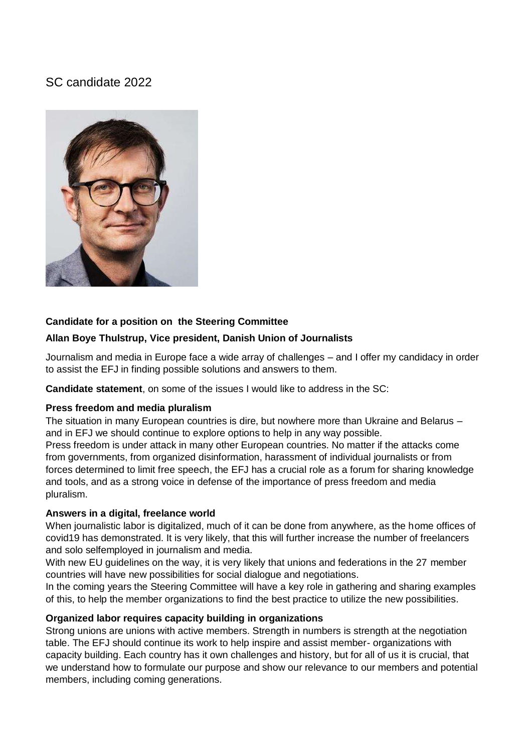# SC candidate 2022



### **Candidate for a position on the Steering Committee**

### **Allan Boye Thulstrup, Vice president, Danish Union of Journalists**

Journalism and media in Europe face a wide array of challenges – and I offer my candidacy in order to assist the EFJ in finding possible solutions and answers to them.

**Candidate statement**, on some of the issues I would like to address in the SC:

### **Press freedom and media pluralism**

The situation in many European countries is dire, but nowhere more than Ukraine and Belarus – and in EFJ we should continue to explore options to help in any way possible.

Press freedom is under attack in many other European countries. No matter if the attacks come from governments, from organized disinformation, harassment of individual journalists or from forces determined to limit free speech, the EFJ has a crucial role as a forum for sharing knowledge and tools, and as a strong voice in defense of the importance of press freedom and media pluralism.

#### **Answers in a digital, freelance world**

When journalistic labor is digitalized, much of it can be done from anywhere, as the home offices of covid19 has demonstrated. It is very likely, that this will further increase the number of freelancers and solo selfemployed in journalism and media.

With new EU guidelines on the way, it is very likely that unions and federations in the 27 member countries will have new possibilities for social dialogue and negotiations.

In the coming years the Steering Committee will have a key role in gathering and sharing examples of this, to help the member organizations to find the best practice to utilize the new possibilities.

### **Organized labor requires capacity building in organizations**

Strong unions are unions with active members. Strength in numbers is strength at the negotiation table. The EFJ should continue its work to help inspire and assist member- organizations with capacity building. Each country has it own challenges and history, but for all of us it is crucial, that we understand how to formulate our purpose and show our relevance to our members and potential members, including coming generations.